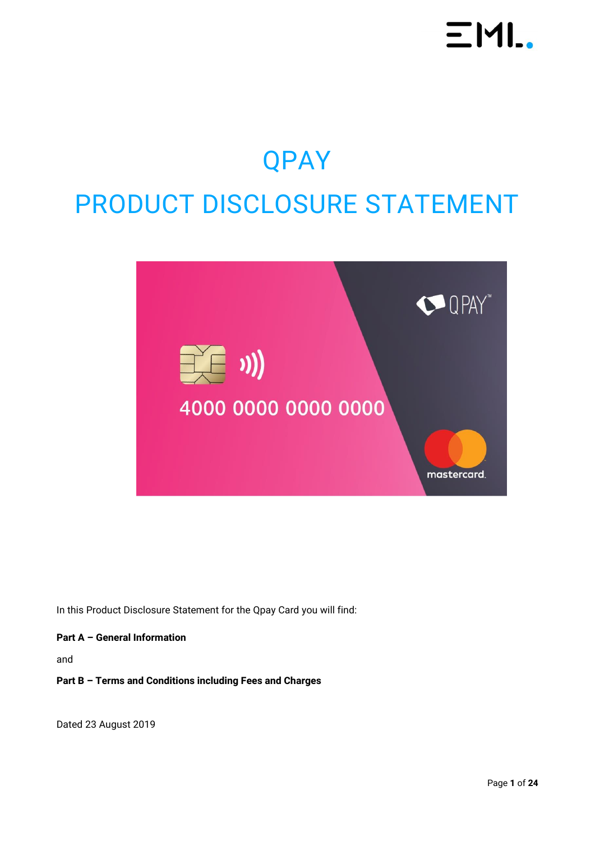## $EML$

## QPAY PRODUCT DISCLOSURE STATEMENT



In this Product Disclosure Statement for the Qpay Card you will find:

#### **Part A – General Information**

and

#### **Part B – Terms and Conditions including Fees and Charges**

Dated 23 August 2019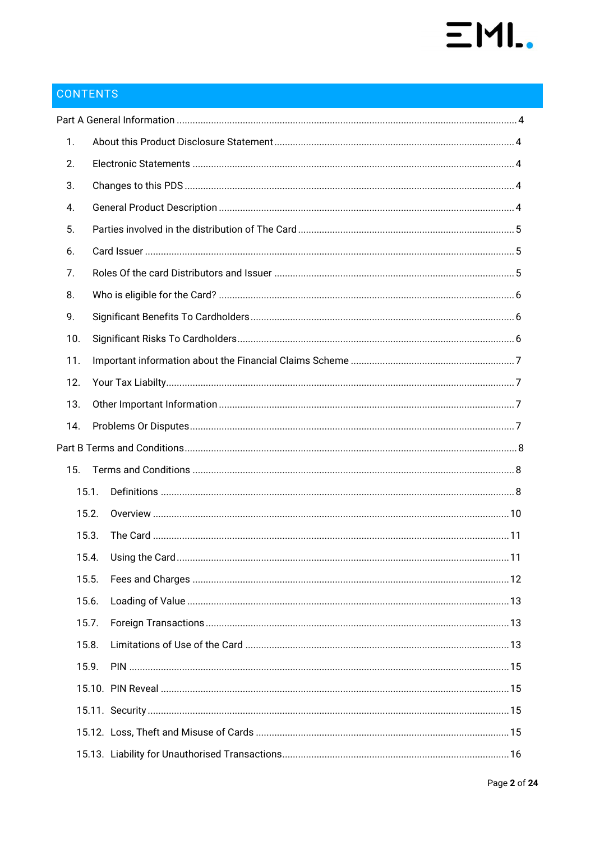# $EMI.$

## CONTENTS

| 1.    |  |  |
|-------|--|--|
| 2.    |  |  |
| 3.    |  |  |
| 4.    |  |  |
| 5.    |  |  |
| 6.    |  |  |
| 7.    |  |  |
| 8.    |  |  |
| 9.    |  |  |
| 10.   |  |  |
| 11.   |  |  |
| 12.   |  |  |
| 13.   |  |  |
| 14.   |  |  |
|       |  |  |
| 15.   |  |  |
| 15.1. |  |  |
|       |  |  |
| 15.2. |  |  |
| 15.3. |  |  |
|       |  |  |
| 15.5. |  |  |
| 15.6. |  |  |
| 15.7. |  |  |
| 15.8. |  |  |
| 15.9. |  |  |
|       |  |  |
|       |  |  |
|       |  |  |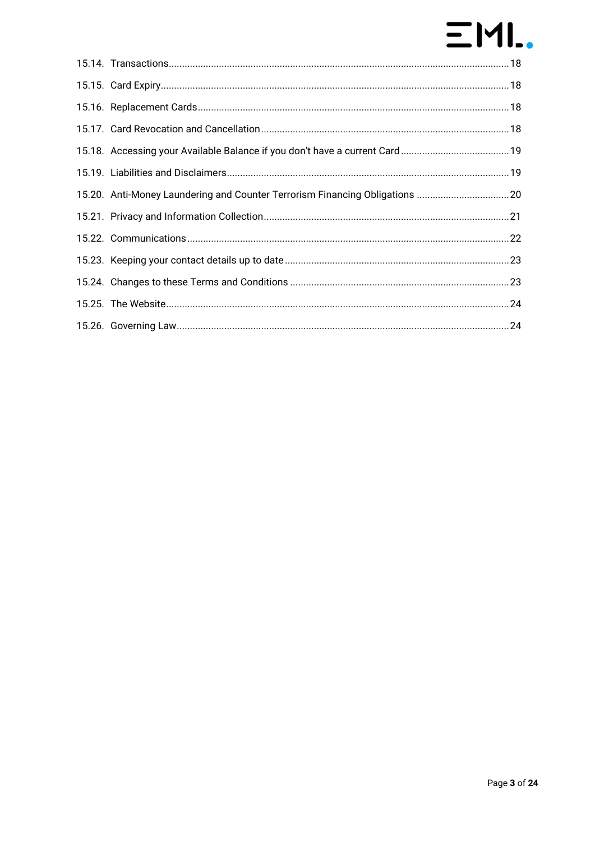## $E$ ML.

| 15.20. Anti-Money Laundering and Counter Terrorism Financing Obligations 20 |  |
|-----------------------------------------------------------------------------|--|
|                                                                             |  |
|                                                                             |  |
|                                                                             |  |
|                                                                             |  |
|                                                                             |  |
|                                                                             |  |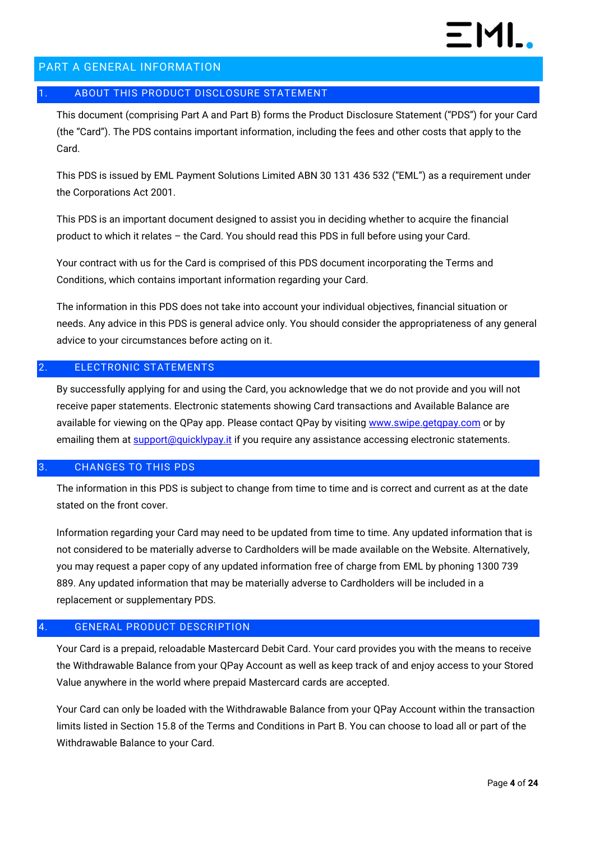

#### <span id="page-3-0"></span>PART A GENERAL INFORMATION

#### <span id="page-3-1"></span>1. ABOUT THIS PRODUCT DISCLOSURE STATEMENT

This document (comprising Part A and Part B) forms the Product Disclosure Statement ("PDS") for your Card (the "Card"). The PDS contains important information, including the fees and other costs that apply to the Card.

This PDS is issued by EML Payment Solutions Limited ABN 30 131 436 532 ("EML") as a requirement under the Corporations Act 2001.

This PDS is an important document designed to assist you in deciding whether to acquire the financial product to which it relates – the Card. You should read this PDS in full before using your Card.

Your contract with us for the Card is comprised of this PDS document incorporating the Terms and Conditions, which contains important information regarding your Card.

The information in this PDS does not take into account your individual objectives, financial situation or needs. Any advice in this PDS is general advice only. You should consider the appropriateness of any general advice to your circumstances before acting on it.

#### <span id="page-3-2"></span>ELECTRONIC STATEMENTS

By successfully applying for and using the Card, you acknowledge that we do not provide and you will not receive paper statements. Electronic statements showing Card transactions and Available Balance are available for viewing on the QPay app. Please contact QPay by visiting www.swipe.getgpay.com or by emailing them at **support**@quicklypay.it if you require any assistance accessing electronic statements.

#### <span id="page-3-3"></span>3. CHANGES TO THIS PDS

The information in this PDS is subject to change from time to time and is correct and current as at the date stated on the front cover.

Information regarding your Card may need to be updated from time to time. Any updated information that is not considered to be materially adverse to Cardholders will be made available on the Website. Alternatively, you may request a paper copy of any updated information free of charge from EML by phoning 1300 739 889. Any updated information that may be materially adverse to Cardholders will be included in a replacement or supplementary PDS.

#### <span id="page-3-4"></span>GENERAL PRODUCT DESCRIPTION

Your Card is a prepaid, reloadable Mastercard Debit Card. Your card provides you with the means to receive the Withdrawable Balance from your QPay Account as well as keep track of and enjoy access to your Stored Value anywhere in the world where prepaid Mastercard cards are accepted.

Your Card can only be loaded with the Withdrawable Balance from your QPay Account within the transaction limits listed in Section [15.8](#page-12-2) of the Terms and Conditions in Part B. You can choose to load all or part of the Withdrawable Balance to your Card.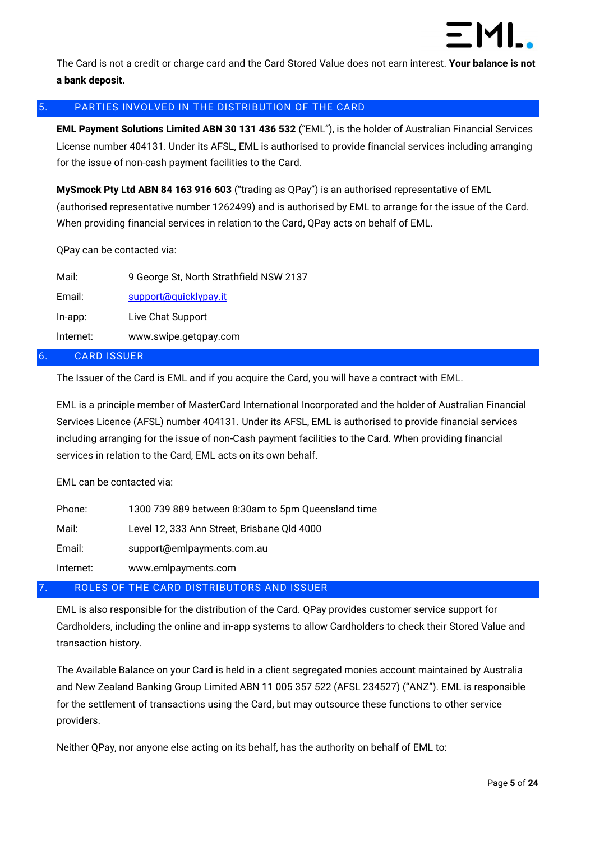

The Card is not a credit or charge card and the Card Stored Value does not earn interest. **Your balance is not a bank deposit.**

#### <span id="page-4-0"></span>5. PARTIES INVOLVED IN THE DISTRIBUTION OF THE CARD

**EML Payment Solutions Limited ABN 30 131 436 532** ("EML"), is the holder of Australian Financial Services License number 404131. Under its AFSL, EML is authorised to provide financial services including arranging for the issue of non-cash payment facilities to the Card.

**MySmock Pty Ltd ABN 84 163 916 603** ("trading as QPay") is an authorised representative of EML (authorised representative number 1262499) and is authorised by EML to arrange for the issue of the Card. When providing financial services in relation to the Card, QPay acts on behalf of EML.

QPay can be contacted via:

| Mail:      | 9 George St, North Strathfield NSW 2137 |
|------------|-----------------------------------------|
| Email:     | support@quicklypay.it                   |
| $In$ -app: | Live Chat Support                       |
| Internet:  | www.swipe.getqpay.com                   |

#### <span id="page-4-1"></span>6. CARD ISSUER

The Issuer of the Card is EML and if you acquire the Card, you will have a contract with EML.

EML is a principle member of MasterCard International Incorporated and the holder of Australian Financial Services Licence (AFSL) number 404131. Under its AFSL, EML is authorised to provide financial services including arranging for the issue of non-Cash payment facilities to the Card. When providing financial services in relation to the Card, EML acts on its own behalf.

EML can be contacted via:

| Phone:    | 1300 739 889 between 8:30am to 5pm Queensland time |
|-----------|----------------------------------------------------|
| Mail:     | Level 12, 333 Ann Street, Brisbane Qld 4000        |
| Email:    | support@emlpayments.com.au                         |
| Internet: | www.emlpayments.com                                |

#### <span id="page-4-2"></span>7. ROLES OF THE CARD DISTRIBUTORS AND ISSUER

EML is also responsible for the distribution of the Card. QPay provides customer service support for Cardholders, including the online and in-app systems to allow Cardholders to check their Stored Value and transaction history.

The Available Balance on your Card is held in a client segregated monies account maintained by Australia and New Zealand Banking Group Limited ABN 11 005 357 522 (AFSL 234527) ("ANZ"). EML is responsible for the settlement of transactions using the Card, but may outsource these functions to other service providers.

Neither QPay, nor anyone else acting on its behalf, has the authority on behalf of EML to: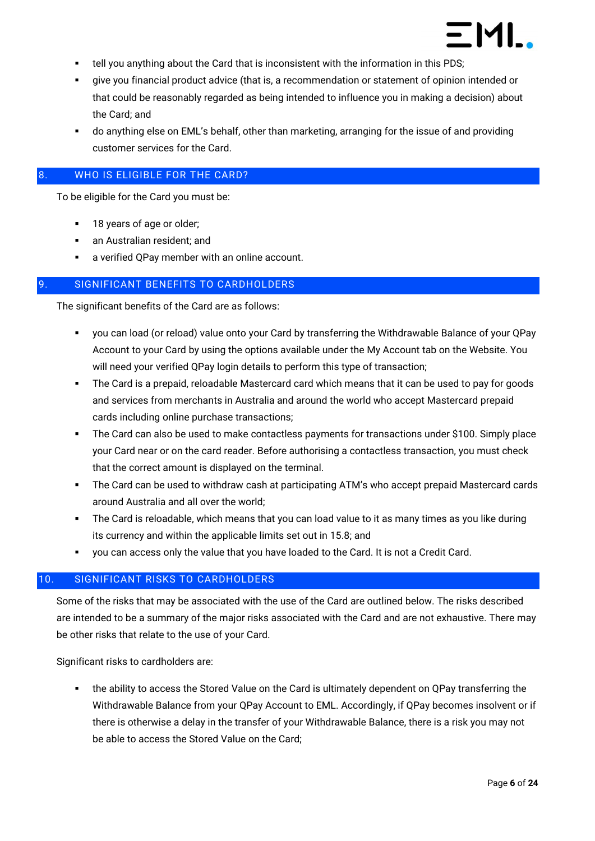

- tell you anything about the Card that is inconsistent with the information in this PDS;
- give you financial product advice (that is, a recommendation or statement of opinion intended or that could be reasonably regarded as being intended to influence you in making a decision) about the Card; and
- do anything else on EML's behalf, other than marketing, arranging for the issue of and providing customer services for the Card.

#### <span id="page-5-0"></span>8. WHO IS ELIGIBLE FOR THE CARD?

To be eligible for the Card you must be:

- 18 years of age or older;
- an Australian resident; and
- a verified QPay member with an online account.

#### <span id="page-5-1"></span>SIGNIFICANT BENEFITS TO CARDHOLDERS

The significant benefits of the Card are as follows:

- you can load (or reload) value onto your Card by transferring the Withdrawable Balance of your QPay Account to your Card by using the options available under the My Account tab on the Website. You will need your verified OPay login details to perform this type of transaction;
- The Card is a prepaid, reloadable Mastercard card which means that it can be used to pay for goods and services from merchants in Australia and around the world who accept Mastercard prepaid cards including online purchase transactions;
- The Card can also be used to make contactless payments for transactions under \$100. Simply place your Card near or on the card reader. Before authorising a contactless transaction, you must check that the correct amount is displayed on the terminal.
- The Card can be used to withdraw cash at participating ATM's who accept prepaid Mastercard cards around Australia and all over the world;
- **•** The Card is reloadable, which means that you can load value to it as many times as you like during its currency and within the applicable limits set out in [15.8;](#page-12-2) and
- you can access only the value that you have loaded to the Card. It is not a Credit Card.

#### <span id="page-5-2"></span>10. SIGNIFICANT RISKS TO CARDHOLDERS

Some of the risks that may be associated with the use of the Card are outlined below. The risks described are intended to be a summary of the major risks associated with the Card and are not exhaustive. There may be other risks that relate to the use of your Card.

Significant risks to cardholders are:

the ability to access the Stored Value on the Card is ultimately dependent on QPay transferring the Withdrawable Balance from your QPay Account to EML. Accordingly, if QPay becomes insolvent or if there is otherwise a delay in the transfer of your Withdrawable Balance, there is a risk you may not be able to access the Stored Value on the Card;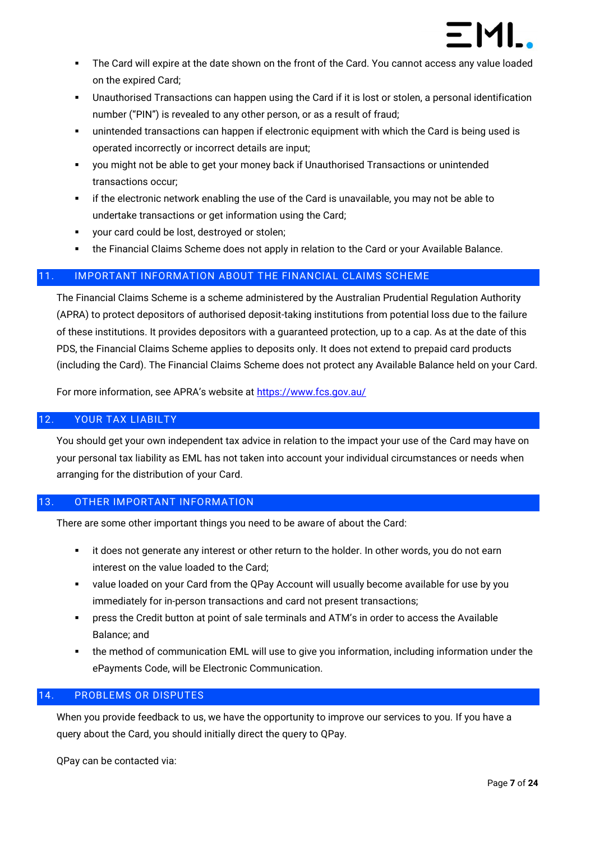

- The Card will expire at the date shown on the front of the Card. You cannot access any value loaded on the expired Card;
- Unauthorised Transactions can happen using the Card if it is lost or stolen, a personal identification number ("PIN") is revealed to any other person, or as a result of fraud;
- unintended transactions can happen if electronic equipment with which the Card is being used is operated incorrectly or incorrect details are input;
- you might not be able to get your money back if Unauthorised Transactions or unintended transactions occur;
- **EXECT** if the electronic network enabling the use of the Card is unavailable, you may not be able to undertake transactions or get information using the Card;
- your card could be lost, destroyed or stolen;
- the Financial Claims Scheme does not apply in relation to the Card or your Available Balance.

#### <span id="page-6-0"></span>11. IMPORTANT INFORMATION ABOUT THE FINANCIAL CLAIMS SCHEME

The Financial Claims Scheme is a scheme administered by the Australian Prudential Regulation Authority (APRA) to protect depositors of authorised deposit-taking institutions from potential loss due to the failure of these institutions. It provides depositors with a guaranteed protection, up to a cap. As at the date of this PDS, the Financial Claims Scheme applies to deposits only. It does not extend to prepaid card products (including the Card). The Financial Claims Scheme does not protect any Available Balance held on your Card.

For more information, see APRA's website at <https://www.fcs.gov.au/>

#### <span id="page-6-1"></span>12. YOUR TAX LIABILTY

You should get your own independent tax advice in relation to the impact your use of the Card may have on your personal tax liability as EML has not taken into account your individual circumstances or needs when arranging for the distribution of your Card.

#### <span id="page-6-2"></span>13. OTHER IMPORTANT INFORMATION

There are some other important things you need to be aware of about the Card:

- it does not generate any interest or other return to the holder. In other words, you do not earn interest on the value loaded to the Card;
- value loaded on your Card from the QPay Account will usually become available for use by you immediately for in-person transactions and card not present transactions;
- press the Credit button at point of sale terminals and ATM's in order to access the Available Balance; and
- the method of communication EML will use to give you information, including information under the ePayments Code, will be Electronic Communication.

#### <span id="page-6-3"></span>14. PROBLEMS OR DISPUTES

When you provide feedback to us, we have the opportunity to improve our services to you. If you have a query about the Card, you should initially direct the query to QPay.

QPay can be contacted via: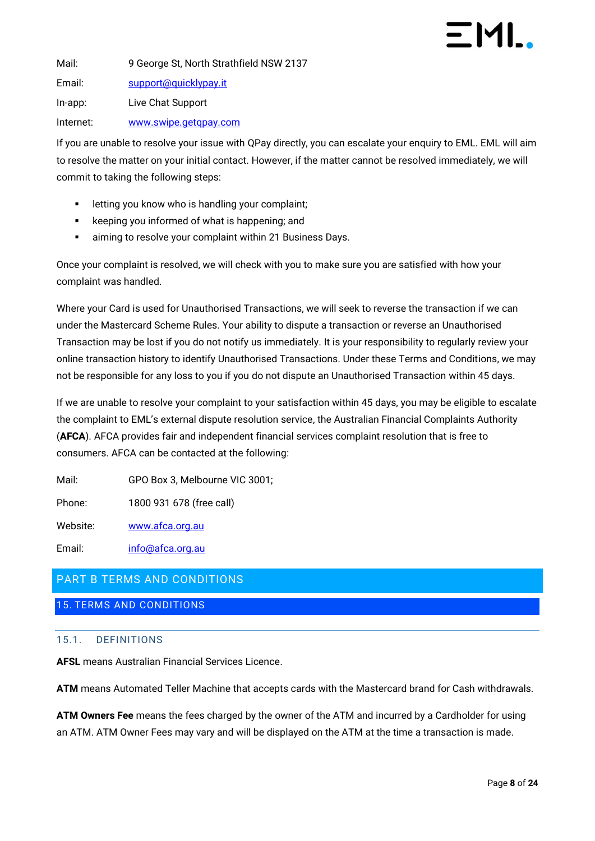Mail: 9 George St, North Strathfield NSW 2137 Email: [support@quicklypay.it](mailto:support@quicklypay.it) In-app: Live Chat Support

Internet: [www.swipe.getqpay.com](http://www.swipe.getqpay.com/)

If you are unable to resolve your issue with QPay directly, you can escalate your enquiry to EML. EML will aim to resolve the matter on your initial contact. However, if the matter cannot be resolved immediately, we will commit to taking the following steps:

- letting you know who is handling your complaint;
- keeping you informed of what is happening; and
- aiming to resolve your complaint within 21 Business Days.

Once your complaint is resolved, we will check with you to make sure you are satisfied with how your complaint was handled.

Where your Card is used for Unauthorised Transactions, we will seek to reverse the transaction if we can under the Mastercard Scheme Rules. Your ability to dispute a transaction or reverse an Unauthorised Transaction may be lost if you do not notify us immediately. It is your responsibility to regularly review your online transaction history to identify Unauthorised Transactions. Under these Terms and Conditions, we may not be responsible for any loss to you if you do not dispute an Unauthorised Transaction within 45 days.

If we are unable to resolve your complaint to your satisfaction within 45 days, you may be eligible to escalate the complaint to EML's external dispute resolution service, the Australian Financial Complaints Authority (**AFCA**). AFCA provides fair and independent financial services complaint resolution that is free to consumers. AFCA can be contacted at the following:

Mail: GPO Box 3, Melbourne VIC 3001;

Phone: 1800 931 678 (free call)

Website: [www.afca.org.au](http://www.afca.org.au/)

Email: [info@afca.org.au](mailto:info@fos.org.au)

### <span id="page-7-0"></span>PART B TERMS AND CONDITIONS

<span id="page-7-2"></span><span id="page-7-1"></span>15. TERMS AND CONDITIONS

#### 15.1. DEFINITIONS

**AFSL** means Australian Financial Services Licence.

**ATM** means Automated Teller Machine that accepts cards with the Mastercard brand for Cash withdrawals.

**ATM Owners Fee** means the fees charged by the owner of the ATM and incurred by a Cardholder for using an ATM. ATM Owner Fees may vary and will be displayed on the ATM at the time a transaction is made.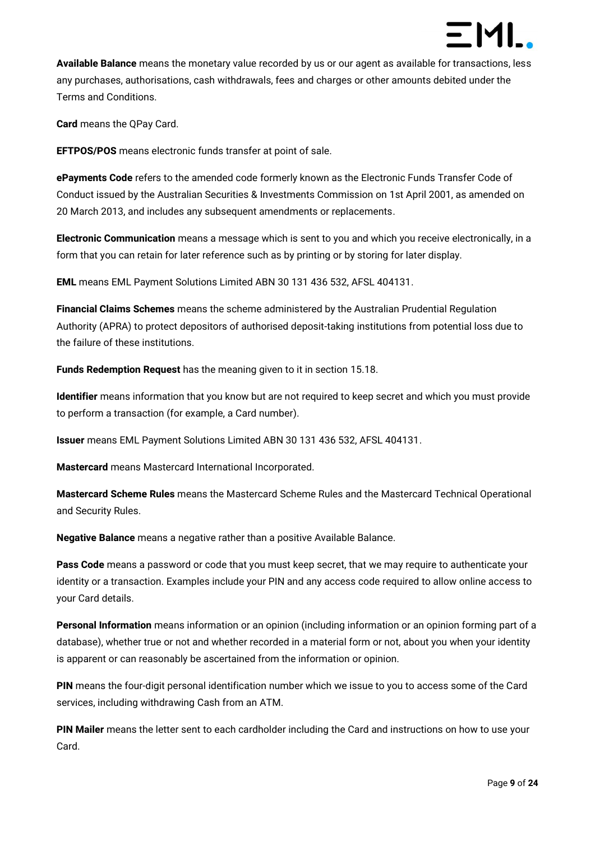

**Available Balance** means the monetary value recorded by us or our agent as available for transactions, less any purchases, authorisations, cash withdrawals, fees and charges or other amounts debited under the Terms and Conditions.

**Card** means the QPay Card.

**EFTPOS/POS** means electronic funds transfer at point of sale.

**ePayments Code** refers to the amended code formerly known as the Electronic Funds Transfer Code of Conduct issued by the Australian Securities & Investments Commission on 1st April 2001, as amended on 20 March 2013, and includes any subsequent amendments or replacements.

**Electronic Communication** means a message which is sent to you and which you receive electronically, in a form that you can retain for later reference such as by printing or by storing for later display.

**EML** means EML Payment Solutions Limited ABN 30 131 436 532, AFSL 404131.

**Financial Claims Schemes** means the scheme administered by the Australian Prudential Regulation Authority (APRA) to protect depositors of authorised deposit-taking institutions from potential loss due to the failure of these institutions.

**Funds Redemption Request** has the meaning given to it in section [15.18.](#page-18-0)

**Identifier** means information that you know but are not required to keep secret and which you must provide to perform a transaction (for example, a Card number).

**Issuer** means EML Payment Solutions Limited ABN 30 131 436 532, AFSL 404131.

**Mastercard** means Mastercard International Incorporated.

**Mastercard Scheme Rules** means the Mastercard Scheme Rules and the Mastercard Technical Operational and Security Rules.

**Negative Balance** means a negative rather than a positive Available Balance.

**Pass Code** means a password or code that you must keep secret, that we may require to authenticate your identity or a transaction. Examples include your PIN and any access code required to allow online access to your Card details.

**Personal Information** means information or an opinion (including information or an opinion forming part of a database), whether true or not and whether recorded in a material form or not, about you when your identity is apparent or can reasonably be ascertained from the information or opinion.

**PIN** means the four-digit personal identification number which we issue to you to access some of the Card services, including withdrawing Cash from an ATM.

**PIN Mailer** means the letter sent to each cardholder including the Card and instructions on how to use your Card.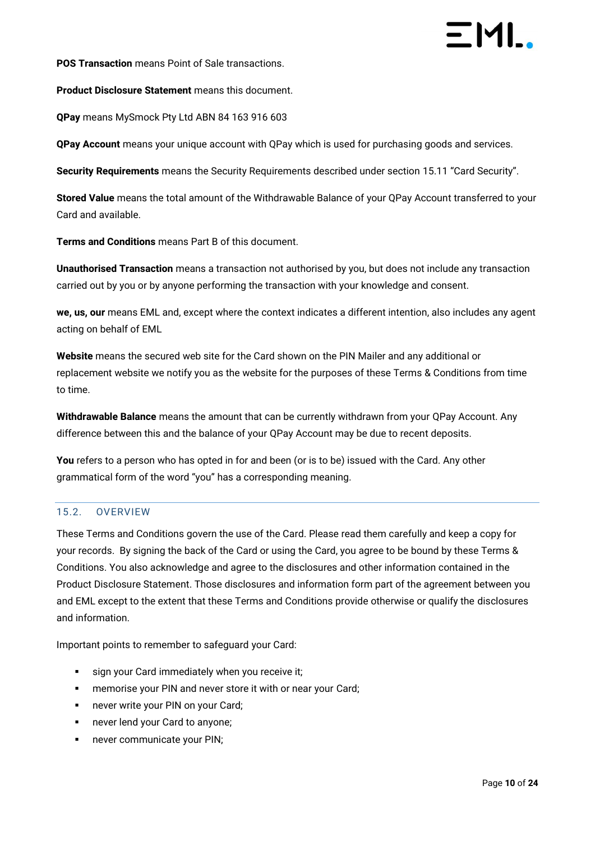**POS Transaction** means Point of Sale transactions.

**Product Disclosure Statement** means this document.

**QPay** means MySmock Pty Ltd ABN 84 163 916 603

**QPay Account** means your unique account with QPay which is used for purchasing goods and services.

**Security Requirements** means the Security Requirements described under section [15.11](#page-14-2) "Card Security".

**Stored Value** means the total amount of the Withdrawable Balance of your QPay Account transferred to your Card and available.

**Terms and Conditions** means Part B of this document.

**Unauthorised Transaction** means a transaction not authorised by you, but does not include any transaction carried out by you or by anyone performing the transaction with your knowledge and consent.

**we, us, our** means EML and, except where the context indicates a different intention, also includes any agent acting on behalf of EML

**Website** means the secured web site for the Card shown on the PIN Mailer and any additional or replacement website we notify you as the website for the purposes of these Terms & Conditions from time to time.

**Withdrawable Balance** means the amount that can be currently withdrawn from your QPay Account. Any difference between this and the balance of your QPay Account may be due to recent deposits.

You refers to a person who has opted in for and been (or is to be) issued with the Card. Any other grammatical form of the word "you" has a corresponding meaning.

#### <span id="page-9-0"></span>15.2. OVERVIEW

These Terms and Conditions govern the use of the Card. Please read them carefully and keep a copy for your records. By signing the back of the Card or using the Card, you agree to be bound by these Terms & Conditions. You also acknowledge and agree to the disclosures and other information contained in the Product Disclosure Statement. Those disclosures and information form part of the agreement between you and EML except to the extent that these Terms and Conditions provide otherwise or qualify the disclosures and information.

Important points to remember to safeguard your Card:

- sign your Card immediately when you receive it;
- **EXECT:** memorise your PIN and never store it with or near your Card;
- never write your PIN on your Card;
- never lend your Card to anyone;
- never communicate your PIN;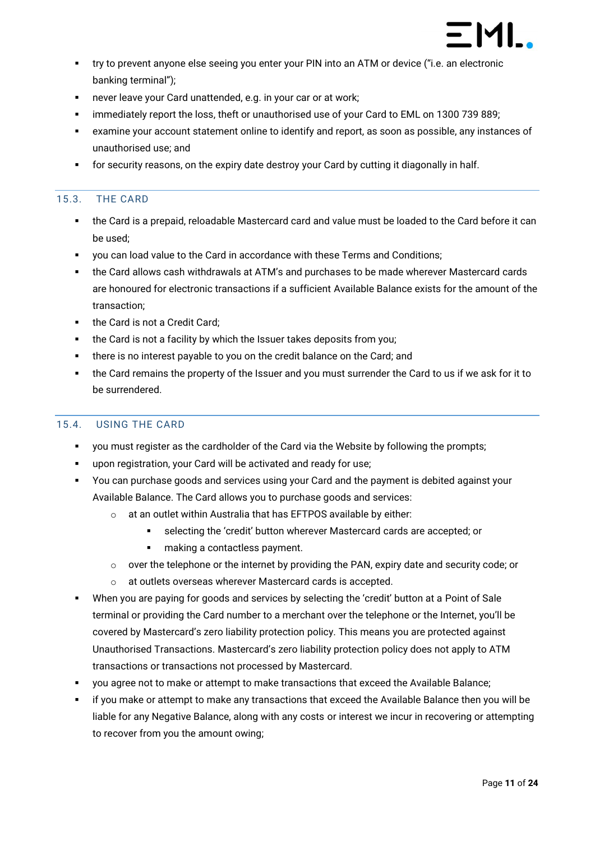

- try to prevent anyone else seeing you enter your PIN into an ATM or device ("i.e. an electronic banking terminal");
- never leave your Card unattended, e.g. in your car or at work;
- **EXEDENT IMM** immediately report the loss, theft or unauthorised use of your Card to EML on 1300 739 889;
- examine your account statement online to identify and report, as soon as possible, any instances of unauthorised use; and
- for security reasons, on the expiry date destroy your Card by cutting it diagonally in half.

#### <span id="page-10-0"></span>15.3. THE CARD

- the Card is a prepaid, reloadable Mastercard card and value must be loaded to the Card before it can be used;
- you can load value to the Card in accordance with these Terms and Conditions;
- the Card allows cash withdrawals at ATM's and purchases to be made wherever Mastercard cards are honoured for electronic transactions if a sufficient Available Balance exists for the amount of the transaction;
- the Card is not a Credit Card;
- the Card is not a facility by which the Issuer takes deposits from you;
- there is no interest payable to you on the credit balance on the Card; and
- the Card remains the property of the Issuer and you must surrender the Card to us if we ask for it to be surrendered.

#### <span id="page-10-1"></span>15.4. USING THE CARD

- you must register as the cardholder of the Card via the Website by following the prompts;
- upon registration, your Card will be activated and ready for use;
- You can purchase goods and services using your Card and the payment is debited against your Available Balance. The Card allows you to purchase goods and services:
	- o at an outlet within Australia that has EFTPOS available by either:
		- selecting the 'credit' button wherever Mastercard cards are accepted; or
		- making a contactless payment.
	- $\circ$  over the telephone or the internet by providing the PAN, expiry date and security code; or
	- o at outlets overseas wherever Mastercard cards is accepted.
- When you are paying for goods and services by selecting the 'credit' button at a Point of Sale terminal or providing the Card number to a merchant over the telephone or the Internet, you'll be covered by Mastercard's zero liability protection policy. This means you are protected against Unauthorised Transactions. Mastercard's zero liability protection policy does not apply to ATM transactions or transactions not processed by Mastercard.
- you agree not to make or attempt to make transactions that exceed the Available Balance;
- if you make or attempt to make any transactions that exceed the Available Balance then you will be liable for any Negative Balance, along with any costs or interest we incur in recovering or attempting to recover from you the amount owing;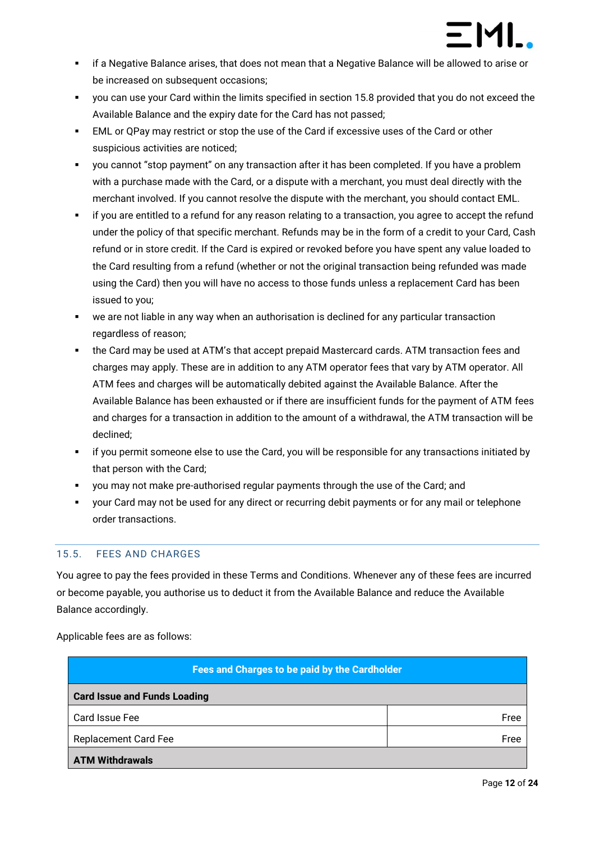

- **•** if a Negative Balance arises, that does not mean that a Negative Balance will be allowed to arise or be increased on subsequent occasions;
- you can use your Card within the limits specified in section [15.8](#page-12-2) provided that you do not exceed the Available Balance and the expiry date for the Card has not passed;
- **EML or QPay may restrict or stop the use of the Card if excessive uses of the Card or other** suspicious activities are noticed;
- you cannot "stop payment" on any transaction after it has been completed. If you have a problem with a purchase made with the Card, or a dispute with a merchant, you must deal directly with the merchant involved. If you cannot resolve the dispute with the merchant, you should contact EML.
- if you are entitled to a refund for any reason relating to a transaction, you agree to accept the refund under the policy of that specific merchant. Refunds may be in the form of a credit to your Card, Cash refund or in store credit. If the Card is expired or revoked before you have spent any value loaded to the Card resulting from a refund (whether or not the original transaction being refunded was made using the Card) then you will have no access to those funds unless a replacement Card has been issued to you;
- we are not liable in any way when an authorisation is declined for any particular transaction regardless of reason;
- the Card may be used at ATM's that accept prepaid Mastercard cards. ATM transaction fees and charges may apply. These are in addition to any ATM operator fees that vary by ATM operator. All ATM fees and charges will be automatically debited against the Available Balance. After the Available Balance has been exhausted or if there are insufficient funds for the payment of ATM fees and charges for a transaction in addition to the amount of a withdrawal, the ATM transaction will be declined;
- if you permit someone else to use the Card, you will be responsible for any transactions initiated by that person with the Card;
- you may not make pre-authorised regular payments through the use of the Card; and
- your Card may not be used for any direct or recurring debit payments or for any mail or telephone order transactions.

#### <span id="page-11-0"></span>15.5. FEES AND CHARGES

You agree to pay the fees provided in these Terms and Conditions. Whenever any of these fees are incurred or become payable, you authorise us to deduct it from the Available Balance and reduce the Available Balance accordingly.

Applicable fees are as follows:

| Fees and Charges to be paid by the Cardholder |      |  |
|-----------------------------------------------|------|--|
| <b>Card Issue and Funds Loading</b>           |      |  |
| Card Issue Fee                                | Free |  |
| <b>Replacement Card Fee</b>                   | Free |  |
| <b>ATM Withdrawals</b>                        |      |  |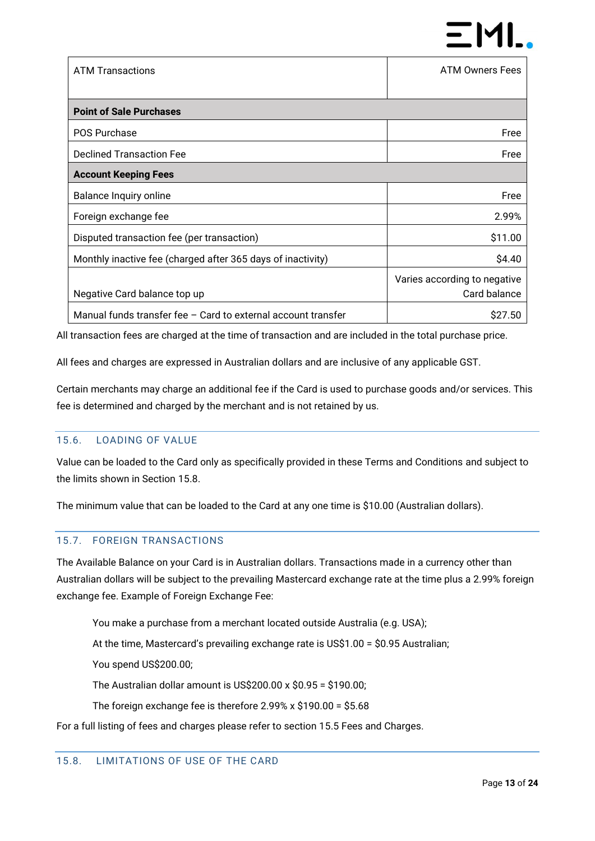

| <b>ATM Transactions</b>                                         | <b>ATM Owners Fees</b>       |  |
|-----------------------------------------------------------------|------------------------------|--|
|                                                                 |                              |  |
| <b>Point of Sale Purchases</b>                                  |                              |  |
| <b>POS Purchase</b>                                             | Free                         |  |
| <b>Declined Transaction Fee</b>                                 | Free                         |  |
| <b>Account Keeping Fees</b>                                     |                              |  |
| Balance Inquiry online                                          | Free                         |  |
| Foreign exchange fee                                            | 2.99%                        |  |
| Disputed transaction fee (per transaction)                      | \$11.00                      |  |
| Monthly inactive fee (charged after 365 days of inactivity)     | \$4.40                       |  |
|                                                                 | Varies according to negative |  |
| Negative Card balance top up                                    | Card balance                 |  |
| Manual funds transfer fee $-$ Card to external account transfer | S <sub>27.50</sub>           |  |

All transaction fees are charged at the time of transaction and are included in the total purchase price.

All fees and charges are expressed in Australian dollars and are inclusive of any applicable GST.

Certain merchants may charge an additional fee if the Card is used to purchase goods and/or services. This fee is determined and charged by the merchant and is not retained by us.

#### <span id="page-12-0"></span>15.6. LOADING OF VALUE

Value can be loaded to the Card only as specifically provided in these Terms and Conditions and subject to the limits shown in Section [15.8.](#page-12-2)

The minimum value that can be loaded to the Card at any one time is \$10.00 (Australian dollars).

#### <span id="page-12-1"></span>15.7. FOREIGN TRANSACTIONS

The Available Balance on your Card is in Australian dollars. Transactions made in a currency other than Australian dollars will be subject to the prevailing Mastercard exchange rate at the time plus a 2.99% foreign exchange fee. Example of Foreign Exchange Fee:

You make a purchase from a merchant located outside Australia (e.g. USA);

At the time, Mastercard's prevailing exchange rate is US\$1.00 = \$0.95 Australian;

You spend US\$200.00;

The Australian dollar amount is US\$200.00 x \$0.95 = \$190.00;

The foreign exchange fee is therefore 2.99% x \$190.00 = \$5.68

<span id="page-12-2"></span>For a full listing of fees and charges please refer to section 15.5 Fees and Charges.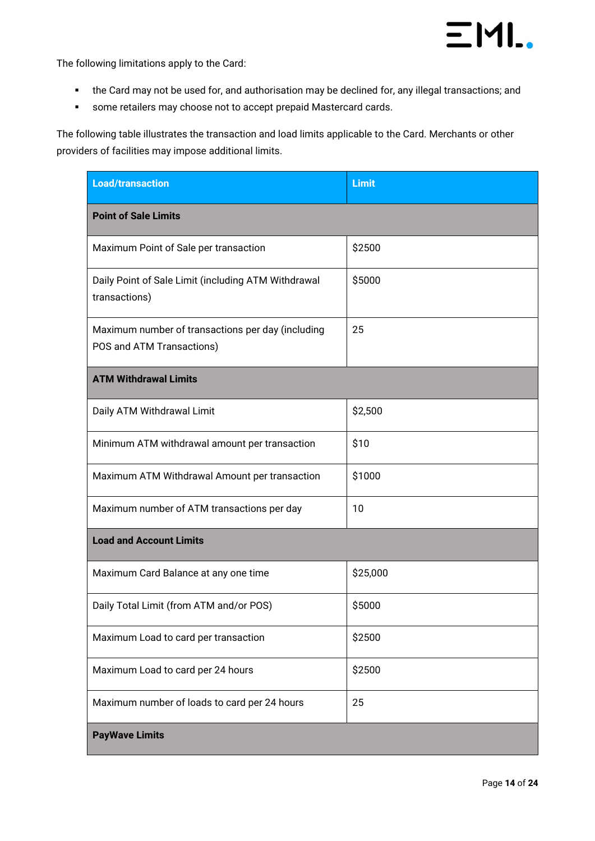

The following limitations apply to the Card:

- the Card may not be used for, and authorisation may be declined for, any illegal transactions; and
- some retailers may choose not to accept prepaid Mastercard cards.

The following table illustrates the transaction and load limits applicable to the Card. Merchants or other providers of facilities may impose additional limits.

| <b>Load/transaction</b>                                                        | <b>Limit</b> |  |  |
|--------------------------------------------------------------------------------|--------------|--|--|
| <b>Point of Sale Limits</b>                                                    |              |  |  |
| Maximum Point of Sale per transaction                                          | \$2500       |  |  |
| Daily Point of Sale Limit (including ATM Withdrawal<br>transactions)           | \$5000       |  |  |
| Maximum number of transactions per day (including<br>POS and ATM Transactions) | 25           |  |  |
| <b>ATM Withdrawal Limits</b>                                                   |              |  |  |
| Daily ATM Withdrawal Limit                                                     | \$2,500      |  |  |
| Minimum ATM withdrawal amount per transaction                                  | \$10         |  |  |
| Maximum ATM Withdrawal Amount per transaction                                  | \$1000       |  |  |
| Maximum number of ATM transactions per day                                     | 10           |  |  |
| <b>Load and Account Limits</b>                                                 |              |  |  |
| Maximum Card Balance at any one time                                           | \$25,000     |  |  |
| Daily Total Limit (from ATM and/or POS)                                        | \$5000       |  |  |
| Maximum Load to card per transaction                                           | \$2500       |  |  |
| Maximum Load to card per 24 hours                                              | \$2500       |  |  |
| Maximum number of loads to card per 24 hours                                   | 25           |  |  |
| <b>PayWave Limits</b>                                                          |              |  |  |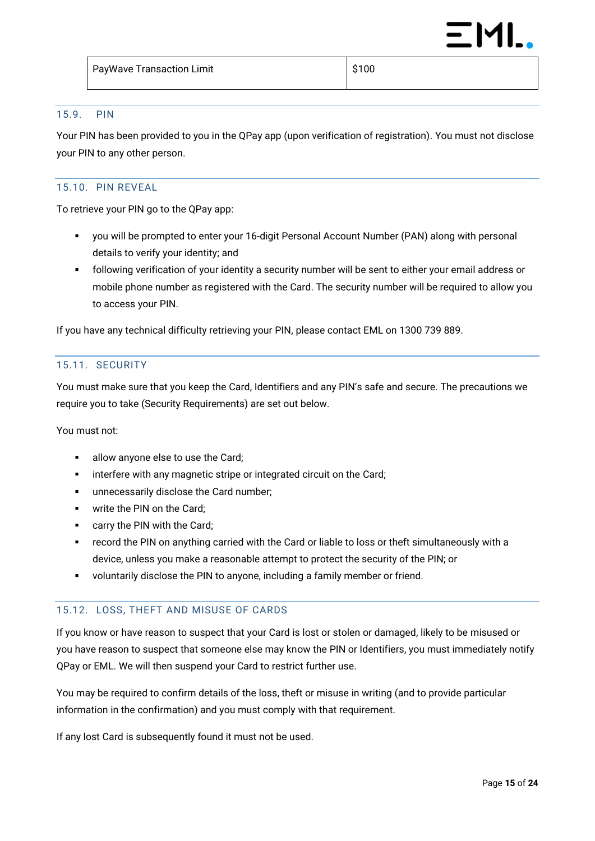#### <span id="page-14-0"></span>15.9. PIN

Your PIN has been provided to you in the QPay app (upon verification of registration). You must not disclose your PIN to any other person.

#### <span id="page-14-1"></span>15.10. PIN REVEAL

To retrieve your PIN go to the QPay app:

- you will be prompted to enter your 16-digit Personal Account Number (PAN) along with personal details to verify your identity; and
- following verification of your identity a security number will be sent to either your email address or mobile phone number as registered with the Card. The security number will be required to allow you to access your PIN.

If you have any technical difficulty retrieving your PIN, please contact EML on 1300 739 889.

#### <span id="page-14-2"></span>15.11. SECURITY

You must make sure that you keep the Card, Identifiers and any PIN's safe and secure. The precautions we require you to take (Security Requirements) are set out below.

#### You must not:

- allow anyone else to use the Card;
- **•** interfere with any magnetic stripe or integrated circuit on the Card;
- **■** unnecessarily disclose the Card number;
- **•** write the PIN on the Card;
- carry the PIN with the Card;
- record the PIN on anything carried with the Card or liable to loss or theft simultaneously with a device, unless you make a reasonable attempt to protect the security of the PIN; or
- voluntarily disclose the PIN to anyone, including a family member or friend.

#### <span id="page-14-3"></span>15.12. LOSS, THEFT AND MISUSE OF CARDS

If you know or have reason to suspect that your Card is lost or stolen or damaged, likely to be misused or you have reason to suspect that someone else may know the PIN or Identifiers, you must immediately notify QPay or EML. We will then suspend your Card to restrict further use.

You may be required to confirm details of the loss, theft or misuse in writing (and to provide particular information in the confirmation) and you must comply with that requirement.

If any lost Card is subsequently found it must not be used.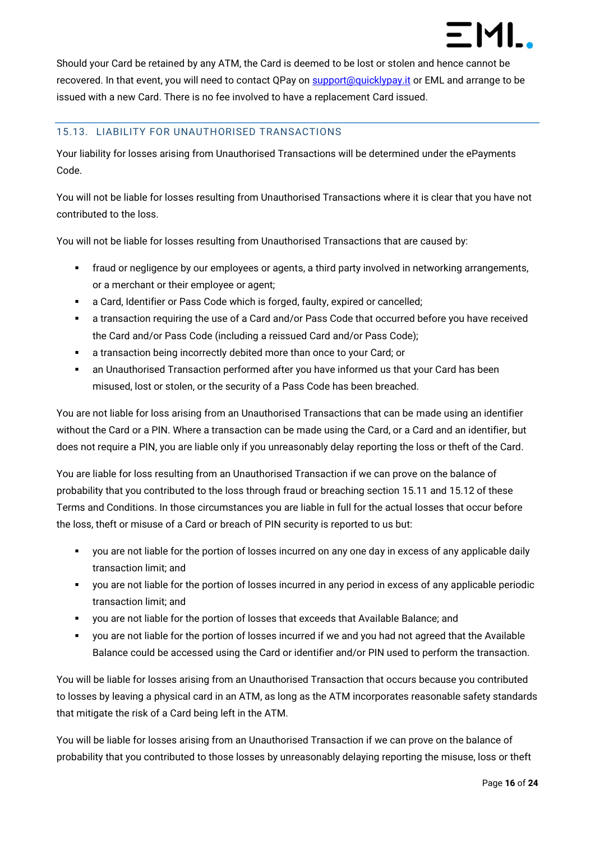Should your Card be retained by any ATM, the Card is deemed to be lost or stolen and hence cannot be recovered. In that event, you will need to contact QPay o[n support@quicklypay.it](mailto:support@quicklypay.it) or EML and arrange to be issued with a new Card. There is no fee involved to have a replacement Card issued.

### <span id="page-15-0"></span>15.13. LIABILITY FOR UNAUTHORISED TRANSACTIONS

Your liability for losses arising from Unauthorised Transactions will be determined under the ePayments Code.

You will not be liable for losses resulting from Unauthorised Transactions where it is clear that you have not contributed to the loss.

You will not be liable for losses resulting from Unauthorised Transactions that are caused by:

- fraud or negligence by our employees or agents, a third party involved in networking arrangements, or a merchant or their employee or agent;
- a Card, Identifier or Pass Code which is forged, faulty, expired or cancelled;
- a transaction requiring the use of a Card and/or Pass Code that occurred before you have received the Card and/or Pass Code (including a reissued Card and/or Pass Code);
- a transaction being incorrectly debited more than once to your Card; or
- an Unauthorised Transaction performed after you have informed us that your Card has been misused, lost or stolen, or the security of a Pass Code has been breached.

You are not liable for loss arising from an Unauthorised Transactions that can be made using an identifier without the Card or a PIN. Where a transaction can be made using the Card, or a Card and an identifier, but does not require a PIN, you are liable only if you unreasonably delay reporting the loss or theft of the Card.

You are liable for loss resulting from an Unauthorised Transaction if we can prove on the balance of probability that you contributed to the loss through fraud or breaching section [15.11](#page-14-2) an[d 15.12](#page-14-3) of these Terms and Conditions. In those circumstances you are liable in full for the actual losses that occur before the loss, theft or misuse of a Card or breach of PIN security is reported to us but:

- you are not liable for the portion of losses incurred on any one day in excess of any applicable daily transaction limit; and
- you are not liable for the portion of losses incurred in any period in excess of any applicable periodic transaction limit; and
- you are not liable for the portion of losses that exceeds that Available Balance; and
- you are not liable for the portion of losses incurred if we and you had not agreed that the Available Balance could be accessed using the Card or identifier and/or PIN used to perform the transaction.

You will be liable for losses arising from an Unauthorised Transaction that occurs because you contributed to losses by leaving a physical card in an ATM, as long as the ATM incorporates reasonable safety standards that mitigate the risk of a Card being left in the ATM.

You will be liable for losses arising from an Unauthorised Transaction if we can prove on the balance of probability that you contributed to those losses by unreasonably delaying reporting the misuse, loss or theft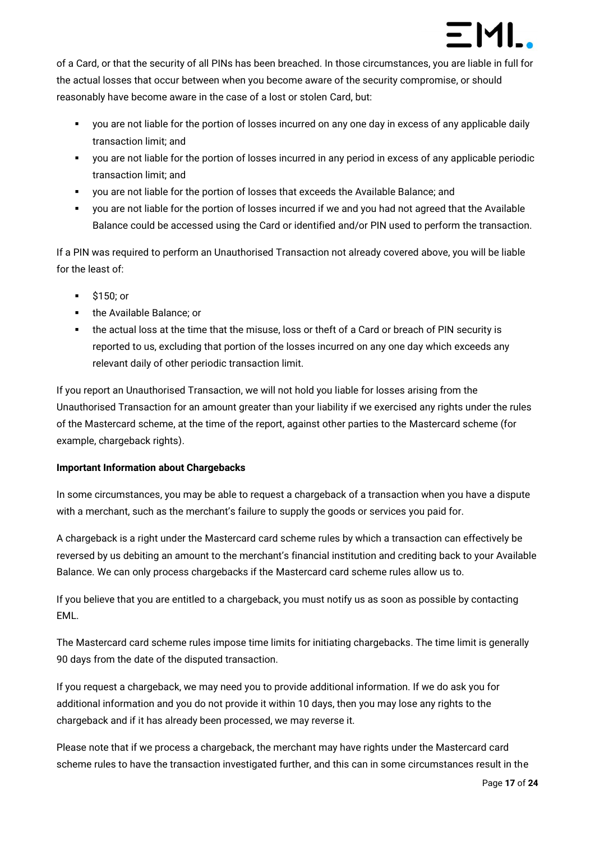

of a Card, or that the security of all PINs has been breached. In those circumstances, you are liable in full for the actual losses that occur between when you become aware of the security compromise, or should reasonably have become aware in the case of a lost or stolen Card, but:

- you are not liable for the portion of losses incurred on any one day in excess of any applicable daily transaction limit; and
- you are not liable for the portion of losses incurred in any period in excess of any applicable periodic transaction limit; and
- you are not liable for the portion of losses that exceeds the Available Balance; and
- you are not liable for the portion of losses incurred if we and you had not agreed that the Available Balance could be accessed using the Card or identified and/or PIN used to perform the transaction.

If a PIN was required to perform an Unauthorised Transaction not already covered above, you will be liable for the least of:

- \$150; or
- the Available Balance: or
- the actual loss at the time that the misuse, loss or theft of a Card or breach of PIN security is reported to us, excluding that portion of the losses incurred on any one day which exceeds any relevant daily of other periodic transaction limit.

If you report an Unauthorised Transaction, we will not hold you liable for losses arising from the Unauthorised Transaction for an amount greater than your liability if we exercised any rights under the rules of the Mastercard scheme, at the time of the report, against other parties to the Mastercard scheme (for example, chargeback rights).

#### **Important Information about Chargebacks**

In some circumstances, you may be able to request a chargeback of a transaction when you have a dispute with a merchant, such as the merchant's failure to supply the goods or services you paid for.

A chargeback is a right under the Mastercard card scheme rules by which a transaction can effectively be reversed by us debiting an amount to the merchant's financial institution and crediting back to your Available Balance. We can only process chargebacks if the Mastercard card scheme rules allow us to.

If you believe that you are entitled to a chargeback, you must notify us as soon as possible by contacting EML.

The Mastercard card scheme rules impose time limits for initiating chargebacks. The time limit is generally 90 days from the date of the disputed transaction.

If you request a chargeback, we may need you to provide additional information. If we do ask you for additional information and you do not provide it within 10 days, then you may lose any rights to the chargeback and if it has already been processed, we may reverse it.

Please note that if we process a chargeback, the merchant may have rights under the Mastercard card scheme rules to have the transaction investigated further, and this can in some circumstances result in the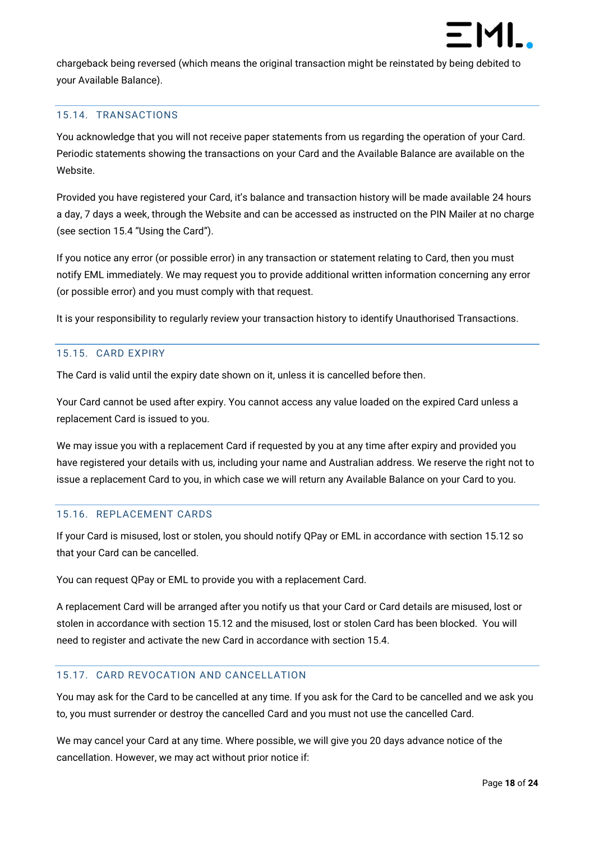

chargeback being reversed (which means the original transaction might be reinstated by being debited to your Available Balance).

#### <span id="page-17-0"></span>15.14. TRANSACTIONS

You acknowledge that you will not receive paper statements from us regarding the operation of your Card. Periodic statements showing the transactions on your Card and the Available Balance are available on the Website.

Provided you have registered your Card, it's balance and transaction history will be made available 24 hours a day, 7 days a week, through the Website and can be accessed as instructed on the PIN Mailer at no charge (see section [15.4](#page-10-1) "Using the Card").

If you notice any error (or possible error) in any transaction or statement relating to Card, then you must notify EML immediately. We may request you to provide additional written information concerning any error (or possible error) and you must comply with that request.

It is your responsibility to regularly review your transaction history to identify Unauthorised Transactions.

#### <span id="page-17-1"></span>15.15. CARD EXPIRY

The Card is valid until the expiry date shown on it, unless it is cancelled before then.

Your Card cannot be used after expiry. You cannot access any value loaded on the expired Card unless a replacement Card is issued to you.

We may issue you with a replacement Card if requested by you at any time after expiry and provided you have registered your details with us, including your name and Australian address. We reserve the right not to issue a replacement Card to you, in which case we will return any Available Balance on your Card to you.

#### <span id="page-17-2"></span>15.16. REPLACEMENT CARDS

If your Card is misused, lost or stolen, you should notify QPay or EML in accordance with section [15.12](#page-14-3) so that your Card can be cancelled.

You can request QPay or EML to provide you with a replacement Card.

A replacement Card will be arranged after you notify us that your Card or Card details are misused, lost or stolen in accordance with section [15.12](#page-14-3) and the misused, lost or stolen Card has been blocked. You will need to register and activate the new Card in accordance with section [15.4.](#page-10-1)

#### <span id="page-17-3"></span>15.17. CARD REVOCATION AND CANCELLATION

You may ask for the Card to be cancelled at any time. If you ask for the Card to be cancelled and we ask you to, you must surrender or destroy the cancelled Card and you must not use the cancelled Card.

We may cancel your Card at any time. Where possible, we will give you 20 days advance notice of the cancellation. However, we may act without prior notice if: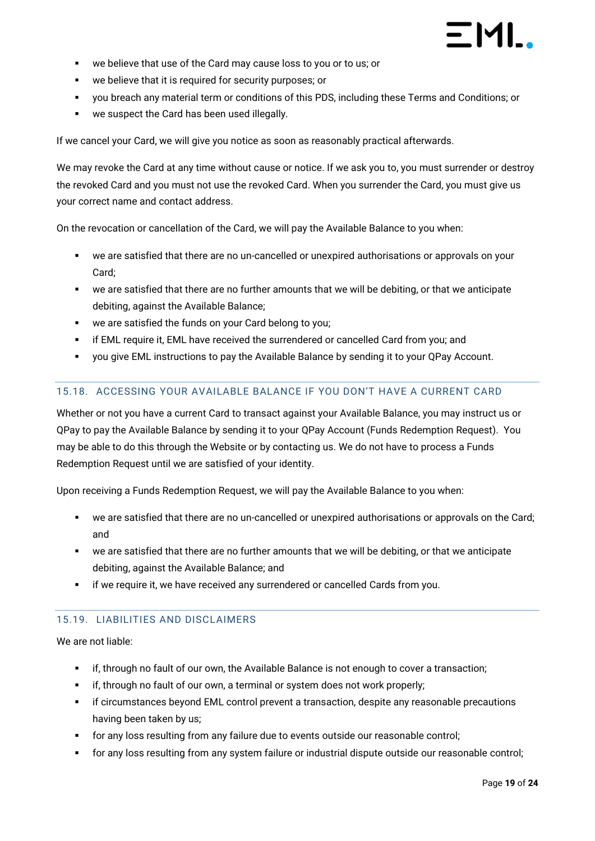

- we believe that use of the Card may cause loss to you or to us; or
- we believe that it is required for security purposes; or
- you breach any material term or conditions of this PDS, including these Terms and Conditions; or
- we suspect the Card has been used illegally.

If we cancel your Card, we will give you notice as soon as reasonably practical afterwards.

We may revoke the Card at any time without cause or notice. If we ask you to, you must surrender or destroy the revoked Card and you must not use the revoked Card. When you surrender the Card, you must give us your correct name and contact address.

On the revocation or cancellation of the Card, we will pay the Available Balance to you when:

- we are satisfied that there are no un-cancelled or unexpired authorisations or approvals on your Card;
- we are satisfied that there are no further amounts that we will be debiting, or that we anticipate debiting, against the Available Balance;
- we are satisfied the funds on your Card belong to you;
- **•** if EML require it, EML have received the surrendered or cancelled Card from you; and
- you give EML instructions to pay the Available Balance by sending it to your QPay Account.

#### <span id="page-18-0"></span>15.18. ACCESSING YOUR AVAILABLE BALANCE IF YOU DON'T HAVE A CURRENT CARD

Whether or not you have a current Card to transact against your Available Balance, you may instruct us or QPay to pay the Available Balance by sending it to your QPay Account (Funds Redemption Request). You may be able to do this through the Website or by contacting us. We do not have to process a Funds Redemption Request until we are satisfied of your identity.

Upon receiving a Funds Redemption Request, we will pay the Available Balance to you when:

- we are satisfied that there are no un-cancelled or unexpired authorisations or approvals on the Card; and
- we are satisfied that there are no further amounts that we will be debiting, or that we anticipate debiting, against the Available Balance; and
- if we require it, we have received any surrendered or cancelled Cards from you.

#### <span id="page-18-1"></span>15.19. LIABILITIES AND DISCLAIMERS

We are not liable:

- if, through no fault of our own, the Available Balance is not enough to cover a transaction;
- if, through no fault of our own, a terminal or system does not work properly;
- **•** if circumstances beyond EML control prevent a transaction, despite any reasonable precautions having been taken by us;
- for any loss resulting from any failure due to events outside our reasonable control;
- for any loss resulting from any system failure or industrial dispute outside our reasonable control;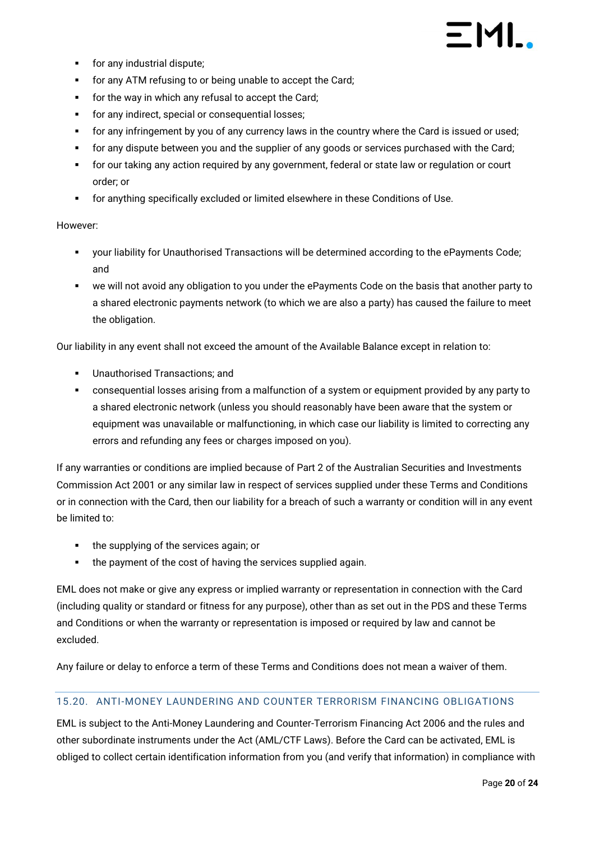- for any industrial dispute;
- for any ATM refusing to or being unable to accept the Card;
- for the way in which any refusal to accept the Card;
- **•** for any indirect, special or consequential losses;
- for any infringement by you of any currency laws in the country where the Card is issued or used;
- for any dispute between you and the supplier of any goods or services purchased with the Card;
- for our taking any action required by any government, federal or state law or regulation or court order; or
- for anything specifically excluded or limited elsewhere in these Conditions of Use.

#### However:

- your liability for Unauthorised Transactions will be determined according to the ePayments Code; and
- we will not avoid any obligation to you under the ePayments Code on the basis that another party to a shared electronic payments network (to which we are also a party) has caused the failure to meet the obligation.

Our liability in any event shall not exceed the amount of the Available Balance except in relation to:

- Unauthorised Transactions; and
- consequential losses arising from a malfunction of a system or equipment provided by any party to a shared electronic network (unless you should reasonably have been aware that the system or equipment was unavailable or malfunctioning, in which case our liability is limited to correcting any errors and refunding any fees or charges imposed on you).

If any warranties or conditions are implied because of Part 2 of the Australian Securities and Investments Commission Act 2001 or any similar law in respect of services supplied under these Terms and Conditions or in connection with the Card, then our liability for a breach of such a warranty or condition will in any event be limited to:

- the supplying of the services again; or
- the payment of the cost of having the services supplied again.

EML does not make or give any express or implied warranty or representation in connection with the Card (including quality or standard or fitness for any purpose), other than as set out in the PDS and these Terms and Conditions or when the warranty or representation is imposed or required by law and cannot be excluded.

Any failure or delay to enforce a term of these Terms and Conditions does not mean a waiver of them.

#### <span id="page-19-0"></span>15.20. ANTI-MONEY LAUNDERING AND COUNTER TERRORISM FINANCING OBLIGATIONS

EML is subject to the Anti-Money Laundering and Counter-Terrorism Financing Act 2006 and the rules and other subordinate instruments under the Act (AML/CTF Laws). Before the Card can be activated, EML is obliged to collect certain identification information from you (and verify that information) in compliance with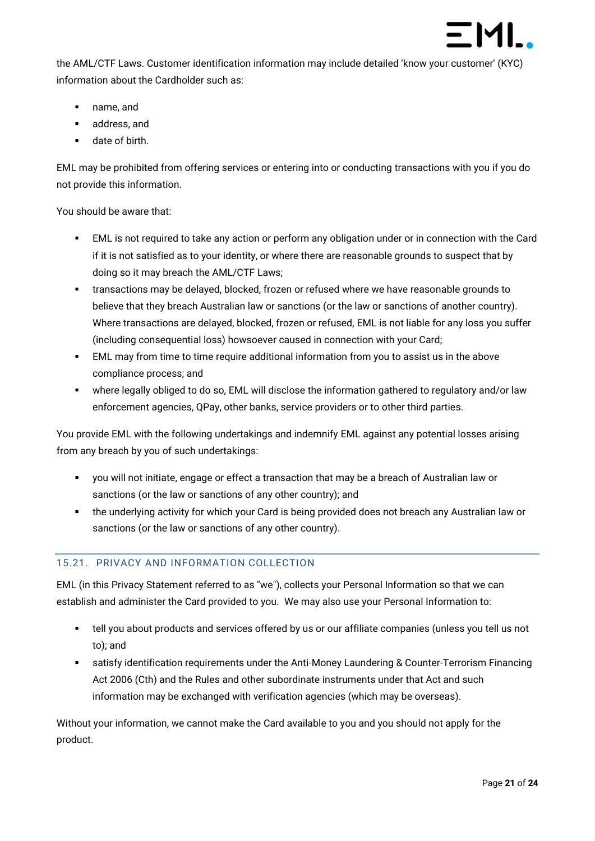

the AML/CTF Laws. Customer identification information may include detailed 'know your customer' (KYC) information about the Cardholder such as:

- name, and
- address, and
- date of birth

EML may be prohibited from offering services or entering into or conducting transactions with you if you do not provide this information.

You should be aware that:

- EML is not required to take any action or perform any obligation under or in connection with the Card if it is not satisfied as to your identity, or where there are reasonable grounds to suspect that by doing so it may breach the AML/CTF Laws;
- **EXECT** transactions may be delayed, blocked, frozen or refused where we have reasonable grounds to believe that they breach Australian law or sanctions (or the law or sanctions of another country). Where transactions are delayed, blocked, frozen or refused, EML is not liable for any loss you suffer (including consequential loss) howsoever caused in connection with your Card;
- **EML** may from time to time require additional information from you to assist us in the above compliance process; and
- where legally obliged to do so, EML will disclose the information gathered to regulatory and/or law enforcement agencies, QPay, other banks, service providers or to other third parties.

You provide EML with the following undertakings and indemnify EML against any potential losses arising from any breach by you of such undertakings:

- you will not initiate, engage or effect a transaction that may be a breach of Australian law or sanctions (or the law or sanctions of any other country); and
- the underlying activity for which your Card is being provided does not breach any Australian law or sanctions (or the law or sanctions of any other country).

### <span id="page-20-0"></span>15.21. PRIVACY AND INFORMATION COLLECTION

EML (in this Privacy Statement referred to as "we"), collects your Personal Information so that we can establish and administer the Card provided to you. We may also use your Personal Information to:

- tell you about products and services offered by us or our affiliate companies (unless you tell us not to); and
- satisfy identification requirements under the Anti-Money Laundering & Counter-Terrorism Financing Act 2006 (Cth) and the Rules and other subordinate instruments under that Act and such information may be exchanged with verification agencies (which may be overseas).

Without your information, we cannot make the Card available to you and you should not apply for the product.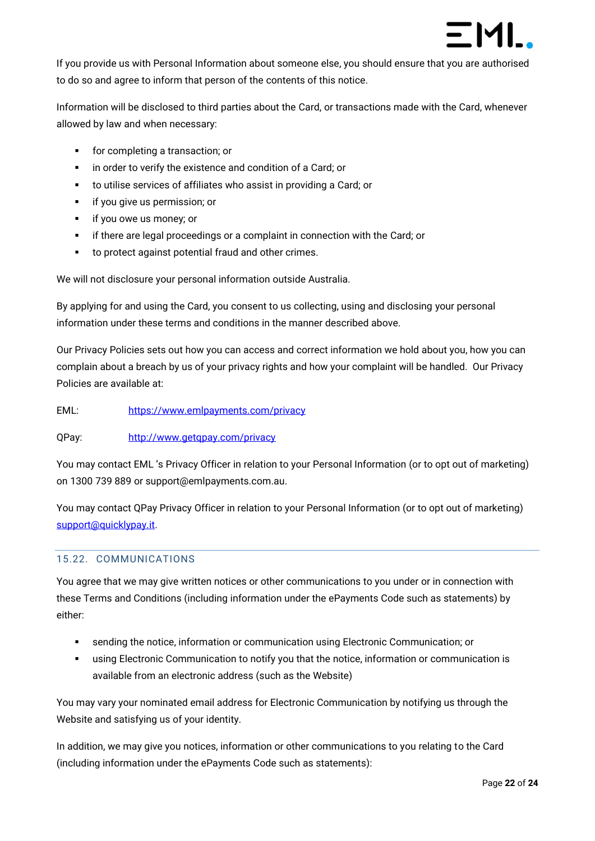

If you provide us with Personal Information about someone else, you should ensure that you are authorised to do so and agree to inform that person of the contents of this notice.

Information will be disclosed to third parties about the Card, or transactions made with the Card, whenever allowed by law and when necessary:

- for completing a transaction; or
- in order to verify the existence and condition of a Card; or
- to utilise services of affiliates who assist in providing a Card; or
- **·** if you give us permission; or
- if you owe us money; or
- if there are legal proceedings or a complaint in connection with the Card; or
- to protect against potential fraud and other crimes.

We will not disclosure your personal information outside Australia.

By applying for and using the Card, you consent to us collecting, using and disclosing your personal information under these terms and conditions in the manner described above.

Our Privacy Policies sets out how you can access and correct information we hold about you, how you can complain about a breach by us of your privacy rights and how your complaint will be handled. Our Privacy Policies are available at:

EML: https://www.emlpayments.com/privacy

#### QPay: <http://www.getqpay.com/privacy>

You may contact EML 's Privacy Officer in relation to your Personal Information (or to opt out of marketing) on 1300 739 889 or support@emlpayments.com.au.

You may contact QPay Privacy Officer in relation to your Personal Information (or to opt out of marketing) [support@quicklypay.it](mailto:support@quicklypay.).

#### <span id="page-21-0"></span>15.22. COMMUNICATIONS

You agree that we may give written notices or other communications to you under or in connection with these Terms and Conditions (including information under the ePayments Code such as statements) by either:

- sending the notice, information or communication using Electronic Communication; or
- **•** using Electronic Communication to notify you that the notice, information or communication is available from an electronic address (such as the Website)

You may vary your nominated email address for Electronic Communication by notifying us through the Website and satisfying us of your identity.

In addition, we may give you notices, information or other communications to you relating to the Card (including information under the ePayments Code such as statements):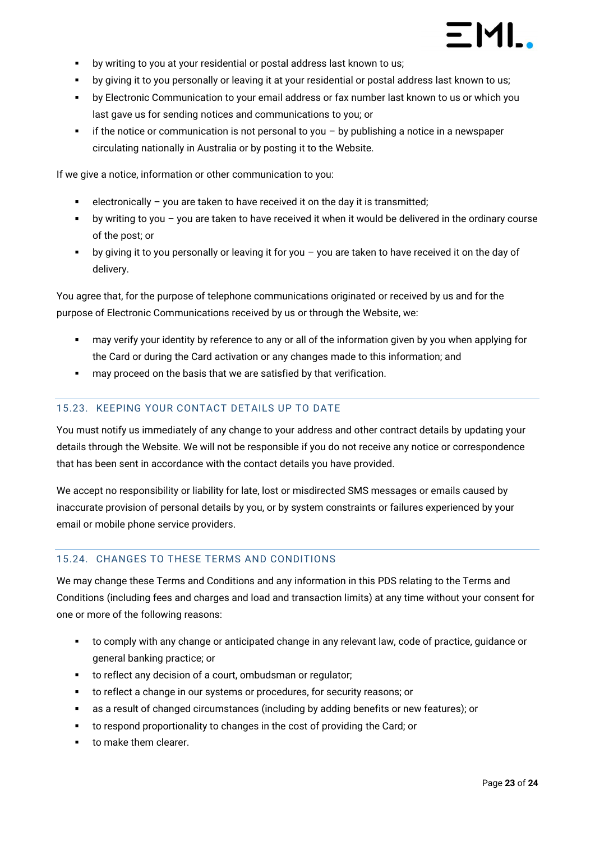

- by writing to you at your residential or postal address last known to us;
- by giving it to you personally or leaving it at your residential or postal address last known to us;
- by Electronic Communication to your email address or fax number last known to us or which you last gave us for sending notices and communications to you; or
- $\blacksquare$  if the notice or communication is not personal to you by publishing a notice in a newspaper circulating nationally in Australia or by posting it to the Website.

If we give a notice, information or other communication to you:

- $e^{\frac{1}{2}}$  electronically you are taken to have received it on the day it is transmitted;
- by writing to you you are taken to have received it when it would be delivered in the ordinary course of the post; or
- by giving it to you personally or leaving it for you  $-$  you are taken to have received it on the day of delivery.

You agree that, for the purpose of telephone communications originated or received by us and for the purpose of Electronic Communications received by us or through the Website, we:

- may verify your identity by reference to any or all of the information given by you when applying for the Card or during the Card activation or any changes made to this information; and
- may proceed on the basis that we are satisfied by that verification.

#### <span id="page-22-0"></span>15.23. KEEPING YOUR CONTACT DETAILS UP TO DATE

You must notify us immediately of any change to your address and other contract details by updating your details through the Website. We will not be responsible if you do not receive any notice or correspondence that has been sent in accordance with the contact details you have provided.

We accept no responsibility or liability for late, lost or misdirected SMS messages or emails caused by inaccurate provision of personal details by you, or by system constraints or failures experienced by your email or mobile phone service providers.

### <span id="page-22-1"></span>15.24. CHANGES TO THESE TERMS AND CONDITIONS

We may change these Terms and Conditions and any information in this PDS relating to the Terms and Conditions (including fees and charges and load and transaction limits) at any time without your consent for one or more of the following reasons:

- to comply with any change or anticipated change in any relevant law, code of practice, guidance or general banking practice; or
- to reflect any decision of a court, ombudsman or regulator;
- to reflect a change in our systems or procedures, for security reasons; or
- as a result of changed circumstances (including by adding benefits or new features); or
- to respond proportionality to changes in the cost of providing the Card; or
- to make them clearer.